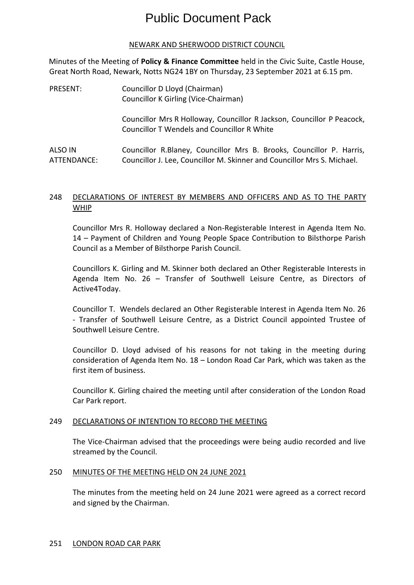# Public Document Pack

# NEWARK AND SHERWOOD DISTRICT COUNCIL

Minutes of the Meeting of **Policy & Finance Committee** held in the Civic Suite, Castle House, Great North Road, Newark, Notts NG24 1BY on Thursday, 23 September 2021 at 6.15 pm.

| PRESENT:               | Councillor D Lloyd (Chairman)<br>Councillor K Girling (Vice-Chairman)                                                                           |
|------------------------|-------------------------------------------------------------------------------------------------------------------------------------------------|
|                        | Councillor Mrs R Holloway, Councillor R Jackson, Councillor P Peacock,<br><b>Councillor T Wendels and Councillor R White</b>                    |
| ALSO IN<br>ATTENDANCE: | Councillor R.Blaney, Councillor Mrs B. Brooks, Councillor P. Harris,<br>Councillor J. Lee, Councillor M. Skinner and Councillor Mrs S. Michael. |

# 248 DECLARATIONS OF INTEREST BY MEMBERS AND OFFICERS AND AS TO THE PARTY WHIP

Councillor Mrs R. Holloway declared a Non-Registerable Interest in Agenda Item No. 14 – Payment of Children and Young People Space Contribution to Bilsthorpe Parish Council as a Member of Bilsthorpe Parish Council.

Councillors K. Girling and M. Skinner both declared an Other Registerable Interests in Agenda Item No. 26 – Transfer of Southwell Leisure Centre, as Directors of Active4Today.

Councillor T. Wendels declared an Other Registerable Interest in Agenda Item No. 26 - Transfer of Southwell Leisure Centre, as a District Council appointed Trustee of Southwell Leisure Centre.

Councillor D. Lloyd advised of his reasons for not taking in the meeting during consideration of Agenda Item No. 18 – London Road Car Park, which was taken as the first item of business.

Councillor K. Girling chaired the meeting until after consideration of the London Road Car Park report.

## 249 DECLARATIONS OF INTENTION TO RECORD THE MEETING

The Vice-Chairman advised that the proceedings were being audio recorded and live streamed by the Council.

## 250 MINUTES OF THE MEETING HELD ON 24 JUNE 2021

The minutes from the meeting held on 24 June 2021 were agreed as a correct record and signed by the Chairman.

## 251 LONDON ROAD CAR PARK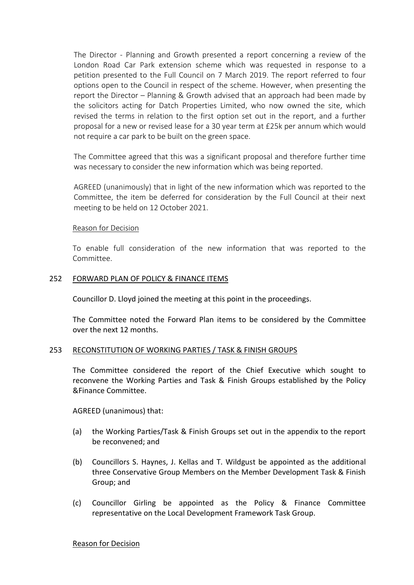The Director - Planning and Growth presented a report concerning a review of the London Road Car Park extension scheme which was requested in response to a petition presented to the Full Council on 7 March 2019. The report referred to four options open to the Council in respect of the scheme. However, when presenting the report the Director – Planning & Growth advised that an approach had been made by the solicitors acting for Datch Properties Limited, who now owned the site, which revised the terms in relation to the first option set out in the report, and a further proposal for a new or revised lease for a 30 year term at £25k per annum which would not require a car park to be built on the green space.

The Committee agreed that this was a significant proposal and therefore further time was necessary to consider the new information which was being reported.

AGREED (unanimously) that in light of the new information which was reported to the Committee, the item be deferred for consideration by the Full Council at their next meeting to be held on 12 October 2021.

## Reason for Decision

To enable full consideration of the new information that was reported to the Committee.

## 252 FORWARD PLAN OF POLICY & FINANCE ITEMS

Councillor D. Lloyd joined the meeting at this point in the proceedings.

The Committee noted the Forward Plan items to be considered by the Committee over the next 12 months.

## 253 RECONSTITUTION OF WORKING PARTIES / TASK & FINISH GROUPS

The Committee considered the report of the Chief Executive which sought to reconvene the Working Parties and Task & Finish Groups established by the Policy &Finance Committee.

AGREED (unanimous) that:

- (a) the Working Parties/Task & Finish Groups set out in the appendix to the report be reconvened; and
- (b) Councillors S. Haynes, J. Kellas and T. Wildgust be appointed as the additional three Conservative Group Members on the Member Development Task & Finish Group; and
- (c) Councillor Girling be appointed as the Policy & Finance Committee representative on the Local Development Framework Task Group.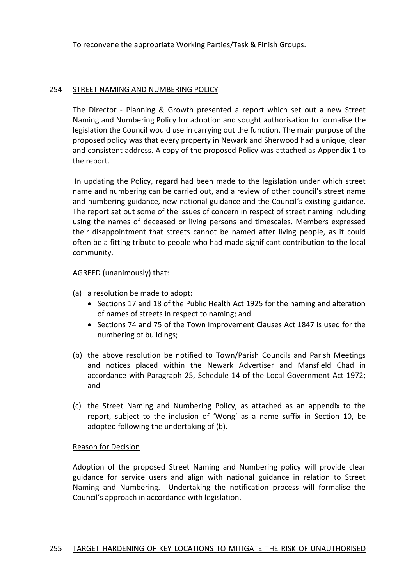To reconvene the appropriate Working Parties/Task & Finish Groups.

## 254 STREET NAMING AND NUMBERING POLICY

The Director - Planning & Growth presented a report which set out a new Street Naming and Numbering Policy for adoption and sought authorisation to formalise the legislation the Council would use in carrying out the function. The main purpose of the proposed policy was that every property in Newark and Sherwood had a unique, clear and consistent address. A copy of the proposed Policy was attached as Appendix 1 to the report.

In updating the Policy, regard had been made to the legislation under which street name and numbering can be carried out, and a review of other council's street name and numbering guidance, new national guidance and the Council's existing guidance. The report set out some of the issues of concern in respect of street naming including using the names of deceased or living persons and timescales. Members expressed their disappointment that streets cannot be named after living people, as it could often be a fitting tribute to people who had made significant contribution to the local community.

## AGREED (unanimously) that:

- (a) a resolution be made to adopt:
	- Sections 17 and 18 of the Public Health Act 1925 for the naming and alteration of names of streets in respect to naming; and
	- Sections 74 and 75 of the Town Improvement Clauses Act 1847 is used for the numbering of buildings;
- (b) the above resolution be notified to Town/Parish Councils and Parish Meetings and notices placed within the Newark Advertiser and Mansfield Chad in accordance with Paragraph 25, Schedule 14 of the Local Government Act 1972; and
- (c) the Street Naming and Numbering Policy, as attached as an appendix to the report, subject to the inclusion of 'Wong' as a name suffix in Section 10, be adopted following the undertaking of (b).

## Reason for Decision

Adoption of the proposed Street Naming and Numbering policy will provide clear guidance for service users and align with national guidance in relation to Street Naming and Numbering. Undertaking the notification process will formalise the Council's approach in accordance with legislation.

#### 255 TARGET HARDENING OF KEY LOCATIONS TO MITIGATE THE RISK OF UNAUTHORISED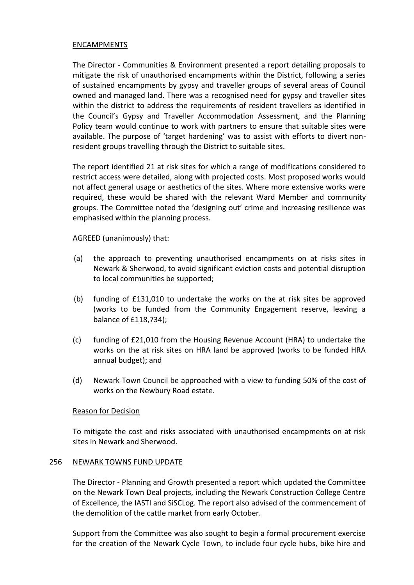## ENCAMPMENTS

The Director - Communities & Environment presented a report detailing proposals to mitigate the risk of unauthorised encampments within the District, following a series of sustained encampments by gypsy and traveller groups of several areas of Council owned and managed land. There was a recognised need for gypsy and traveller sites within the district to address the requirements of resident travellers as identified in the Council's Gypsy and Traveller Accommodation Assessment, and the Planning Policy team would continue to work with partners to ensure that suitable sites were available. The purpose of 'target hardening' was to assist with efforts to divert nonresident groups travelling through the District to suitable sites.

The report identified 21 at risk sites for which a range of modifications considered to restrict access were detailed, along with projected costs. Most proposed works would not affect general usage or aesthetics of the sites. Where more extensive works were required, these would be shared with the relevant Ward Member and community groups. The Committee noted the 'designing out' crime and increasing resilience was emphasised within the planning process.

AGREED (unanimously) that:

- (a) the approach to preventing unauthorised encampments on at risks sites in Newark & Sherwood, to avoid significant eviction costs and potential disruption to local communities be supported;
- (b) funding of £131,010 to undertake the works on the at risk sites be approved (works to be funded from the Community Engagement reserve, leaving a balance of £118,734);
- (c) funding of £21,010 from the Housing Revenue Account (HRA) to undertake the works on the at risk sites on HRA land be approved (works to be funded HRA annual budget); and
- (d) Newark Town Council be approached with a view to funding 50% of the cost of works on the Newbury Road estate.

## Reason for Decision

To mitigate the cost and risks associated with unauthorised encampments on at risk sites in Newark and Sherwood.

#### 256 NEWARK TOWNS FUND UPDATE

The Director - Planning and Growth presented a report which updated the Committee on the Newark Town Deal projects, including the Newark Construction College Centre of Excellence, the IASTI and SiSCLog. The report also advised of the commencement of the demolition of the cattle market from early October.

Support from the Committee was also sought to begin a formal procurement exercise for the creation of the Newark Cycle Town, to include four cycle hubs, bike hire and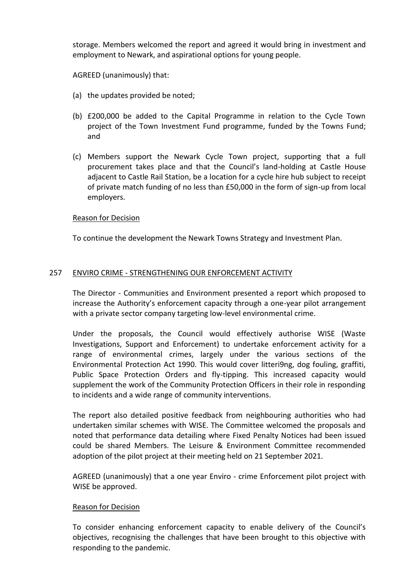storage. Members welcomed the report and agreed it would bring in investment and employment to Newark, and aspirational options for young people.

AGREED (unanimously) that:

- (a) the updates provided be noted;
- (b) £200,000 be added to the Capital Programme in relation to the Cycle Town project of the Town Investment Fund programme, funded by the Towns Fund; and
- (c) Members support the Newark Cycle Town project, supporting that a full procurement takes place and that the Council's land-holding at Castle House adjacent to Castle Rail Station, be a location for a cycle hire hub subject to receipt of private match funding of no less than £50,000 in the form of sign-up from local employers.

# Reason for Decision

To continue the development the Newark Towns Strategy and Investment Plan.

# 257 ENVIRO CRIME - STRENGTHENING OUR ENFORCEMENT ACTIVITY

The Director - Communities and Environment presented a report which proposed to increase the Authority's enforcement capacity through a one-year pilot arrangement with a private sector company targeting low-level environmental crime.

Under the proposals, the Council would effectively authorise WISE (Waste Investigations, Support and Enforcement) to undertake enforcement activity for a range of environmental crimes, largely under the various sections of the Environmental Protection Act 1990. This would cover litteri9ng, dog fouling, graffiti, Public Space Protection Orders and fly-tipping. This increased capacity would supplement the work of the Community Protection Officers in their role in responding to incidents and a wide range of community interventions.

The report also detailed positive feedback from neighbouring authorities who had undertaken similar schemes with WISE. The Committee welcomed the proposals and noted that performance data detailing where Fixed Penalty Notices had been issued could be shared Members. The Leisure & Environment Committee recommended adoption of the pilot project at their meeting held on 21 September 2021.

AGREED (unanimously) that a one year Enviro - crime Enforcement pilot project with WISE be approved.

## Reason for Decision

To consider enhancing enforcement capacity to enable delivery of the Council's objectives, recognising the challenges that have been brought to this objective with responding to the pandemic.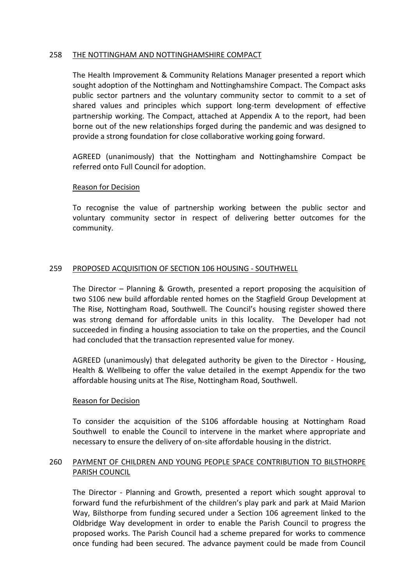## 258 THE NOTTINGHAM AND NOTTINGHAMSHIRE COMPACT

The Health Improvement & Community Relations Manager presented a report which sought adoption of the Nottingham and Nottinghamshire Compact. The Compact asks public sector partners and the voluntary community sector to commit to a set of shared values and principles which support long-term development of effective partnership working. The Compact, attached at Appendix A to the report, had been borne out of the new relationships forged during the pandemic and was designed to provide a strong foundation for close collaborative working going forward.

AGREED (unanimously) that the Nottingham and Nottinghamshire Compact be referred onto Full Council for adoption.

## Reason for Decision

To recognise the value of partnership working between the public sector and voluntary community sector in respect of delivering better outcomes for the community.

## 259 PROPOSED ACQUISITION OF SECTION 106 HOUSING - SOUTHWELL

The Director – Planning & Growth, presented a report proposing the acquisition of two S106 new build affordable rented homes on the Stagfield Group Development at The Rise, Nottingham Road, Southwell. The Council's housing register showed there was strong demand for affordable units in this locality. The Developer had not succeeded in finding a housing association to take on the properties, and the Council had concluded that the transaction represented value for money.

AGREED (unanimously) that delegated authority be given to the Director - Housing, Health & Wellbeing to offer the value detailed in the exempt Appendix for the two affordable housing units at The Rise, Nottingham Road, Southwell.

## Reason for Decision

To consider the acquisition of the S106 affordable housing at Nottingham Road Southwell to enable the Council to intervene in the market where appropriate and necessary to ensure the delivery of on-site affordable housing in the district.

# 260 PAYMENT OF CHILDREN AND YOUNG PEOPLE SPACE CONTRIBUTION TO BILSTHORPE PARISH COUNCIL

The Director - Planning and Growth, presented a report which sought approval to forward fund the refurbishment of the children's play park and park at Maid Marion Way, Bilsthorpe from funding secured under a Section 106 agreement linked to the Oldbridge Way development in order to enable the Parish Council to progress the proposed works. The Parish Council had a scheme prepared for works to commence once funding had been secured. The advance payment could be made from Council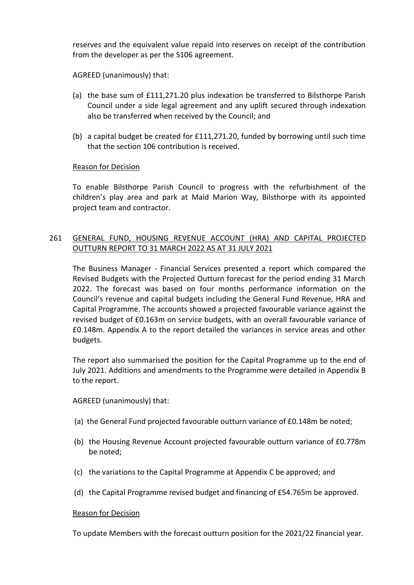reserves and the equivalent value repaid into reserves on receipt of the contribution from the developer as per the S106 agreement.

AGREED (unanimously) that:

- (a) the base sum of £111,271.20 plus indexation be transferred to Bilsthorpe Parish Council under a side legal agreement and any uplift secured through indexation also be transferred when received by the Council; and
- (b) a capital budget be created for £111,271.20, funded by borrowing until such time that the section 106 contribution is received.

# Reason for Decision

To enable Bilsthorpe Parish Council to progress with the refurbishment of the children's play area and park at Maid Marion Way, Bilsthorpe with its appointed project team and contractor.

# 261 GENERAL FUND, HOUSING REVENUE ACCOUNT (HRA) AND CAPITAL PROJECTED OUTTURN REPORT TO 31 MARCH 2022 AS AT 31 JULY 2021

The Business Manager - Financial Services presented a report which compared the Revised Budgets with the Projected Outturn forecast for the period ending 31 March 2022. The forecast was based on four months performance information on the Council's revenue and capital budgets including the General Fund Revenue, HRA and Capital Programme. The accounts showed a projected favourable variance against the revised budget of £0.163m on service budgets, with an overall favourable variance of £0.148m. Appendix A to the report detailed the variances in service areas and other budgets.

The report also summarised the position for the Capital Programme up to the end of July 2021. Additions and amendments to the Programme were detailed in Appendix B to the report.

AGREED (unanimously) that:

- (a) the General Fund projected favourable outturn variance of £0.148m be noted;
- (b) the Housing Revenue Account projected favourable outturn variance of £0.778m be noted;
- (c) the variations to the Capital Programme at Appendix C be approved; and
- (d) the Capital Programme revised budget and financing of £54.765m be approved.

## Reason for Decision

To update Members with the forecast outturn position for the 2021/22 financial year.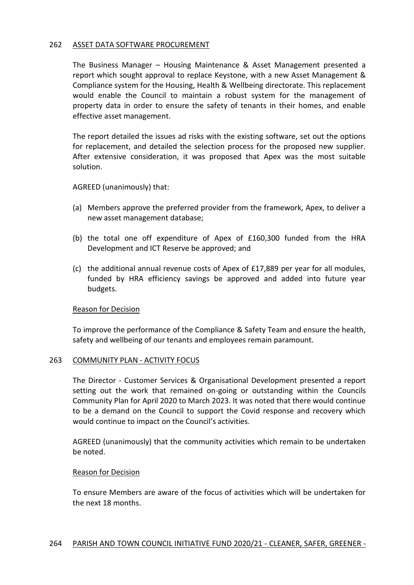## 262 ASSET DATA SOFTWARE PROCUREMENT

The Business Manager – Housing Maintenance & Asset Management presented a report which sought approval to replace Keystone, with a new Asset Management & Compliance system for the Housing, Health & Wellbeing directorate. This replacement would enable the Council to maintain a robust system for the management of property data in order to ensure the safety of tenants in their homes, and enable effective asset management.

The report detailed the issues ad risks with the existing software, set out the options for replacement, and detailed the selection process for the proposed new supplier. After extensive consideration, it was proposed that Apex was the most suitable solution.

AGREED (unanimously) that:

- (a) Members approve the preferred provider from the framework, Apex, to deliver a new asset management database;
- (b) the total one off expenditure of Apex of £160,300 funded from the HRA Development and ICT Reserve be approved; and
- (c) the additional annual revenue costs of Apex of £17,889 per year for all modules, funded by HRA efficiency savings be approved and added into future year budgets.

#### Reason for Decision

To improve the performance of the Compliance & Safety Team and ensure the health, safety and wellbeing of our tenants and employees remain paramount.

#### 263 COMMUNITY PLAN - ACTIVITY FOCUS

The Director - Customer Services & Organisational Development presented a report setting out the work that remained on-going or outstanding within the Councils Community Plan for April 2020 to March 2023. It was noted that there would continue to be a demand on the Council to support the Covid response and recovery which would continue to impact on the Council's activities.

AGREED (unanimously) that the community activities which remain to be undertaken be noted.

#### Reason for Decision

To ensure Members are aware of the focus of activities which will be undertaken for the next 18 months.

## 264 PARISH AND TOWN COUNCIL INITIATIVE FUND 2020/21 - CLEANER, SAFER, GREENER -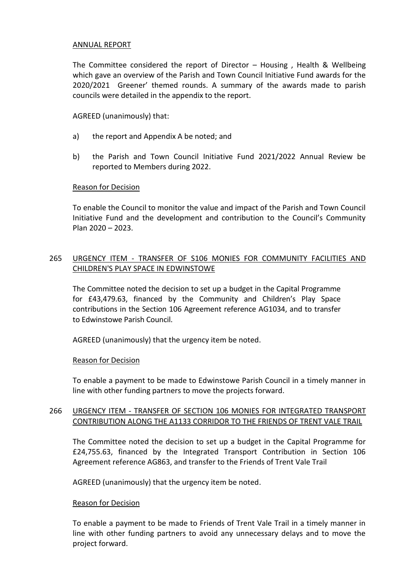## ANNUAL REPORT

The Committee considered the report of Director – Housing , Health & Wellbeing which gave an overview of the Parish and Town Council Initiative Fund awards for the 2020/2021 Greener' themed rounds. A summary of the awards made to parish councils were detailed in the appendix to the report.

## AGREED (unanimously) that:

- a) the report and Appendix A be noted; and
- b) the Parish and Town Council Initiative Fund 2021/2022 Annual Review be reported to Members during 2022.

## Reason for Decision

To enable the Council to monitor the value and impact of the Parish and Town Council Initiative Fund and the development and contribution to the Council's Community Plan 2020 – 2023.

# 265 URGENCY ITEM - TRANSFER OF S106 MONIES FOR COMMUNITY FACILITIES AND CHILDREN'S PLAY SPACE IN EDWINSTOWE

The Committee noted the decision to set up a budget in the Capital Programme for £43,479.63, financed by the Community and Children's Play Space contributions in the Section 106 Agreement reference AG1034, and to transfer to Edwinstowe Parish Council.

AGREED (unanimously) that the urgency item be noted.

## Reason for Decision

To enable a payment to be made to Edwinstowe Parish Council in a timely manner in line with other funding partners to move the projects forward.

# 266 URGENCY ITEM - TRANSFER OF SECTION 106 MONIES FOR INTEGRATED TRANSPORT CONTRIBUTION ALONG THE A1133 CORRIDOR TO THE FRIENDS OF TRENT VALE TRAIL

The Committee noted the decision to set up a budget in the Capital Programme for £24,755.63, financed by the Integrated Transport Contribution in Section 106 Agreement reference AG863, and transfer to the Friends of Trent Vale Trail

AGREED (unanimously) that the urgency item be noted.

## Reason for Decision

To enable a payment to be made to Friends of Trent Vale Trail in a timely manner in line with other funding partners to avoid any unnecessary delays and to move the project forward.